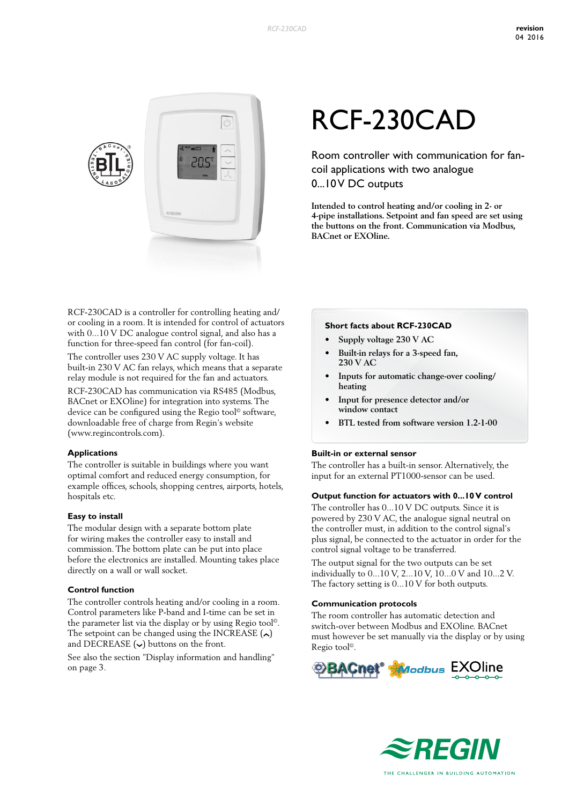

# RCF-230CAD

Room controller with communication for fancoil applications with two analogue 0...10 V DC outputs

**Intended to control heating and/or cooling in 2- or 4-pipe installations. Setpoint and fan speed are set using the buttons on the front. Communication via Modbus, BACnet or EXOline.**

RCF-230CAD is a controller for controlling heating and/ or cooling in a room. It is intended for control of actuators with 0...10 V DC analogue control signal, and also has a function for three-speed fan control (for fan-coil).

The controller uses 230 V AC supply voltage. It has built-in 230 V AC fan relays, which means that a separate relay module is not required for the fan and actuators.

RCF-230CAD has communication via RS485 (Modbus, BACnet or EXOline) for integration into systems. The device can be configured using the Regio tool© software, downloadable free of charge from Regin's website (www.regincontrols.com).

#### **Applications**

The controller is suitable in buildings where you want optimal comfort and reduced energy consumption, for example offices, schools, shopping centres, airports, hotels, hospitals etc.

#### **Easy to install**

The modular design with a separate bottom plate for wiring makes the controller easy to install and commission. The bottom plate can be put into place before the electronics are installed. Mounting takes place directly on a wall or wall socket.

#### **Control function**

The controller controls heating and/or cooling in a room. Control parameters like P-band and I-time can be set in the parameter list via the display or by using Regio tool©. The setpoint can be changed using the INCREASE  $(\sim)$ and DECREASE  $(\sim)$  buttons on the front.

See also the section "Display information and handling" on page 3.

#### **Short facts about RCF-230CAD**

- **• Supply voltage 230 V AC**
- **• Built-in relays for a 3-speed fan, 230 V AC**
- **• Inputs for automatic change-over cooling/ heating**
- **• Input for presence detector and/or window contact**
- **• BTL tested from software version 1.2-1-00**

#### **Built-in or external sensor**

The controller has a built-in sensor. Alternatively, the input for an external PT1000-sensor can be used.

#### **Output function for actuators with 0...10 V control**

The controller has 0...10 V DC outputs. Since it is powered by 230 V AC, the analogue signal neutral on the controller must, in addition to the control signal's plus signal, be connected to the actuator in order for the control signal voltage to be transferred.

The output signal for the two outputs can be set individually to 0...10 V, 2...10 V, 10...0 V and 10...2 V. The factory setting is 0...10 V for both outputs.

#### **Communication protocols**

The room controller has automatic detection and switch-over between Modbus and EXOline. BACnet must however be set manually via the display or by using Regio tool©.



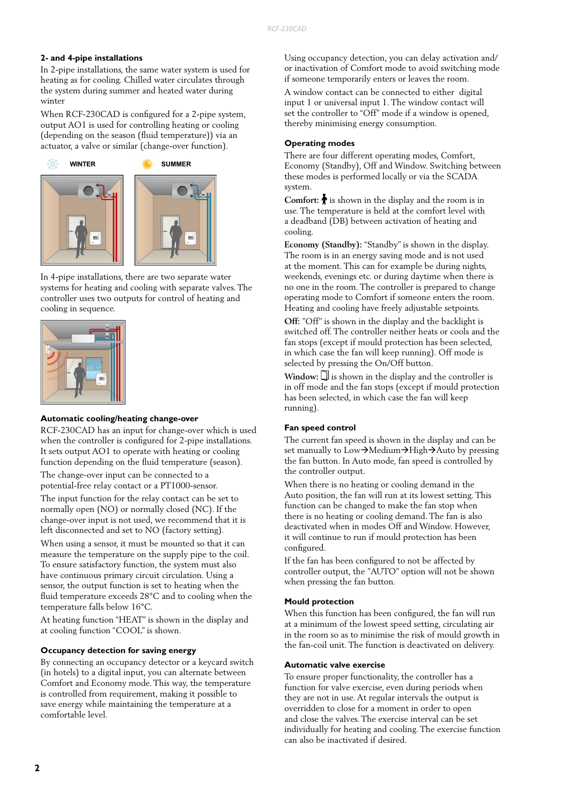#### **2- and 4-pipe installations**

In 2-pipe installations, the same water system is used for heating as for cooling. Chilled water circulates through the system during summer and heated water during winter

When RCF-230CAD is configured for a 2-pipe system, output AO1 is used for controlling heating or cooling (depending on the season (fluid temperature)) via an actuator, a valve or similar (change-over function).



In 4-pipe installations, there are two separate water systems for heating and cooling with separate valves. The controller uses two outputs for control of heating and cooling in sequence.



#### **Automatic cooling/heating change-over**

RCF-230CAD has an input for change-over which is used when the controller is configured for 2-pipe installations. It sets output AO1 to operate with heating or cooling function depending on the fluid temperature (season).

The change-over input can be connected to a potential-free relay contact or a PT1000-sensor.

The input function for the relay contact can be set to normally open (NO) or normally closed (NC). If the change-over input is not used, we recommend that it is left disconnected and set to NO (factory setting).

When using a sensor, it must be mounted so that it can measure the temperature on the supply pipe to the coil. To ensure satisfactory function, the system must also have continuous primary circuit circulation. Using a sensor, the output function is set to heating when the fluid temperature exceeds 28°C and to cooling when the temperature falls below 16°C.

At heating function "HEAT" is shown in the display and at cooling function "COOL" is shown.

#### **Occupancy detection for saving energy**

By connecting an occupancy detector or a keycard switch (in hotels) to a digital input, you can alternate between Comfort and Economy mode. This way, the temperature is controlled from requirement, making it possible to save energy while maintaining the temperature at a comfortable level.

Using occupancy detection, you can delay activation and/ or inactivation of Comfort mode to avoid switching mode if someone temporarily enters or leaves the room.

A window contact can be connected to either digital input 1 or universal input 1. The window contact will set the controller to "Off" mode if a window is opened, thereby minimising energy consumption.

#### **Operating modes**

There are four different operating modes, Comfort, Economy (Standby), Off and Window. Switching between these modes is performed locally or via the SCADA system.

**Comfort:**  $\bigstar$  is shown in the display and the room is in use. The temperature is held at the comfort level with a deadband (DB) between activation of heating and cooling.

**Economy (Standby):** "Standby" is shown in the display. The room is in an energy saving mode and is not used at the moment. This can for example be during nights, weekends, evenings etc. or during daytime when there is no one in the room. The controller is prepared to change operating mode to Comfort if someone enters the room. Heating and cooling have freely adjustable setpoints.

**Off:** "Off" is shown in the display and the backlight is switched off. The controller neither heats or cools and the fan stops (except if mould protection has been selected, in which case the fan will keep running). Off mode is selected by pressing the On/Off button.

Window:  $\square$  is shown in the display and the controller is in off mode and the fan stops (except if mould protection has been selected, in which case the fan will keep running).

#### **Fan speed control**

The current fan speed is shown in the display and can be set manually to  $Low\rightarrow Medium\rightarrow High\rightarrow Auto$  by pressing the fan button. In Auto mode, fan speed is controlled by the controller output.

When there is no heating or cooling demand in the Auto position, the fan will run at its lowest setting. This function can be changed to make the fan stop when there is no heating or cooling demand. The fan is also deactivated when in modes Off and Window. However, it will continue to run if mould protection has been configured.

If the fan has been configured to not be affected by controller output, the "AUTO" option will not be shown when pressing the fan button.

#### **Mould protection**

When this function has been configured, the fan will run at a minimum of the lowest speed setting, circulating air in the room so as to minimise the risk of mould growth in the fan-coil unit. The function is deactivated on delivery.

#### **Automatic valve exercise**

To ensure proper functionality, the controller has a function for valve exercise, even during periods when they are not in use. At regular intervals the output is overridden to close for a moment in order to open and close the valves. The exercise interval can be set individually for heating and cooling. The exercise function can also be inactivated if desired.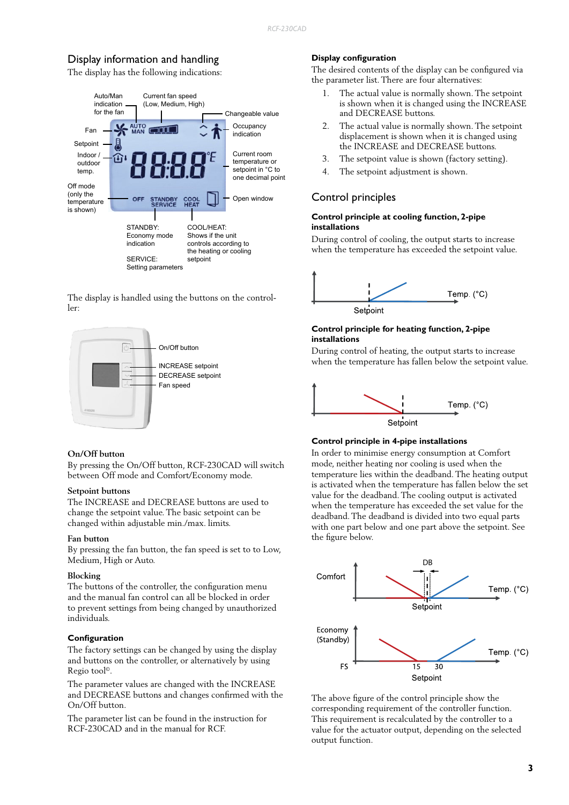# Display information and handling

The display has the following indications:



The display is handled using the buttons on the controller:



#### **On/Off button**

By pressing the On/Off button, RCF-230CAD will switch between Off mode and Comfort/Economy mode.

#### **Setpoint buttons**

The INCREASE and DECREASE buttons are used to change the setpoint value. The basic setpoint can be changed within adjustable min./max. limits.

#### **Fan button**

By pressing the fan button, the fan speed is set to to Low, Medium, High or Auto.

#### **Blocking**

The buttons of the controller, the configuration menu and the manual fan control can all be blocked in order to prevent settings from being changed by unauthorized individuals.

#### **Configuration**

The factory settings can be changed by using the display and buttons on the controller, or alternatively by using Regio tool©.

The parameter values are changed with the INCREASE and DECREASE buttons and changes confirmed with the On/Off button.

The parameter list can be found in the instruction for RCF-230CAD and in the manual for RCF.

#### **Display configuration**

The desired contents of the display can be configured via the parameter list. There are four alternatives:

- 1. The actual value is normally shown. The setpoint is shown when it is changed using the INCREASE and DECREASE buttons.
- 2. The actual value is normally shown. The setpoint displacement is shown when it is changed using the INCREASE and DECREASE buttons.
- 3. The setpoint value is shown (factory setting).
- 4. The setpoint adjustment is shown.

#### Control principles

#### **Control principle at cooling function, 2-pipe installations**

During control of cooling, the output starts to increase when the temperature has exceeded the setpoint value.



#### **Control principle for heating function, 2-pipe installations**

During control of heating, the output starts to increase when the temperature has fallen below the setpoint value.



#### **Control principle in 4-pipe installations**

In order to minimise energy consumption at Comfort mode, neither heating nor cooling is used when the temperature lies within the deadband. The heating output is activated when the temperature has fallen below the set value for the deadband. The cooling output is activated when the temperature has exceeded the set value for the deadband. The deadband is divided into two equal parts with one part below and one part above the setpoint. See the figure below.



The above figure of the control principle show the corresponding requirement of the controller function. This requirement is recalculated by the controller to a value for the actuator output, depending on the selected output function.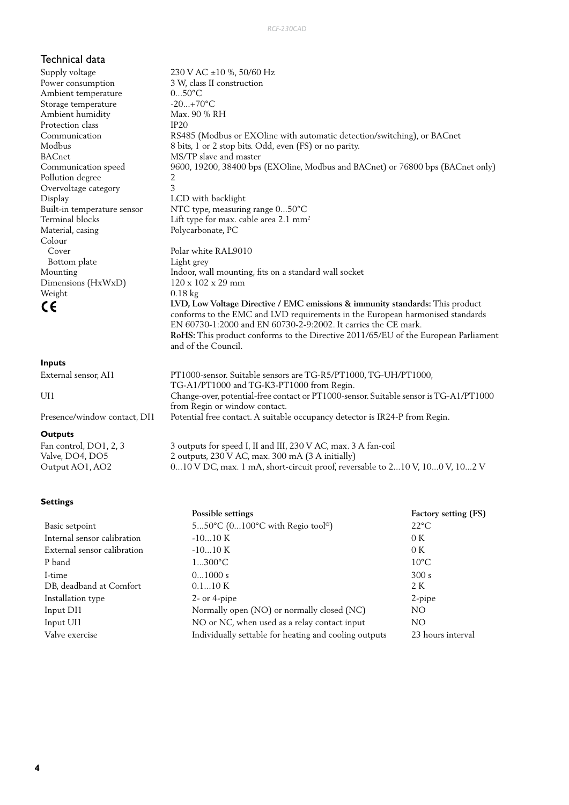### Technical data

Supply voltage  $230 \text{ V AC } \pm 10 \%$ , 50/60 Hz Power consumption 3 W, class II construction Ambient temperature 0...50°C Storage temperature -20...+70°C Ambient humidity Max. 90 % RH Protection class IP20 BACnet MS/TP slave and master Pollution degree 2 Overvoltage category 3 Display LCD with backlight Colour Cover Polar white RAL9010 Bottom plate Light grey Dimensions (HxWxD) Weight 0.18 kg

#### **Inputs**

UI1 Change-over, potential-free contact or PT1000-sensor. Suitable sensor is TG-A1/PT1000

Presence/window contact, DI1 Potential free contact. A suitable occupancy detector is IR24-P from Regin.

#### **Outputs**

Fan control, DO1, 2, 3 3 outputs for speed I, II and III, 230 V AC, max. 3 A fan-coil Valve, DO4, DO5 2 outputs, 230 V AC, max. 300 mA (3 A initially) Output AO1, AO2 0...10 V DC, max. 1 mA, short-circuit proof, reversable to 2...10 V, 10...0 V, 10...2 V

TG-A1/PT1000 and TG-K3-PT1000 from Regin.

from Regin or window contact.

#### **Settings**

|                                                                   | Possible settings                                     | Factory setting (FS) |  |
|-------------------------------------------------------------------|-------------------------------------------------------|----------------------|--|
| 550°C $(0100$ °C with Regio tool <sup>®</sup> )<br>Basic setpoint |                                                       | $22^{\circ}$ C       |  |
| Internal sensor calibration                                       | $-1010K$                                              | 0K                   |  |
| External sensor calibration                                       | $-1010K$                                              | 0K                   |  |
| P band                                                            | $1300^{\circ}C$                                       | $10^{\circ}$ C       |  |
| I-time                                                            | 01000 s                                               | 300 s                |  |
| DB, deadband at Comfort                                           | 0.110K                                                | 2 K                  |  |
| Installation type                                                 | $2$ - or 4-pipe                                       | 2-pipe               |  |
| Input DI1                                                         | Normally open (NO) or normally closed (NC)            |                      |  |
| Input UI1                                                         | NO or NC, when used as a relay contact input          | NO.                  |  |
| Valve exercise                                                    | Individually settable for heating and cooling outputs | 23 hours interval    |  |

Communication RS485 (Modbus or EXOline with automatic detection/switching), or BACnet Modbus 8 bits, 1 or 2 stop bits. Odd, even (FS) or no parity. Communication speed 9600, 19200, 38400 bps (EXOline, Modbus and BACnet) or 76800 bps (BACnet only) Built-in temperature sensor NTC type, measuring range 0...50°C Terminal blocks Lift type for max. cable area 2.1 mm<sup>2</sup><br>Material, casing Polycarbonate, PC Polycarbonate, PC Mounting Indoor, wall mounting, fits on a standard wall socket<br>Dimensions (HxWxD)  $120 \times 102 \times 29 \text{ mm}$  **LVD, Low Voltage Directive / EMC emissions & immunity standards:** This product conforms to the EMC and LVD requirements in the European harmonised standards EN 60730-1:2000 and EN 60730-2-9:2002. It carries the CE mark. **RoHS:** This product conforms to the Directive 2011/65/EU of the European Parliament and of the Council. External sensor, AI1 PT1000-sensor. Suitable sensors are TG-R5/PT1000, TG-UH/PT1000,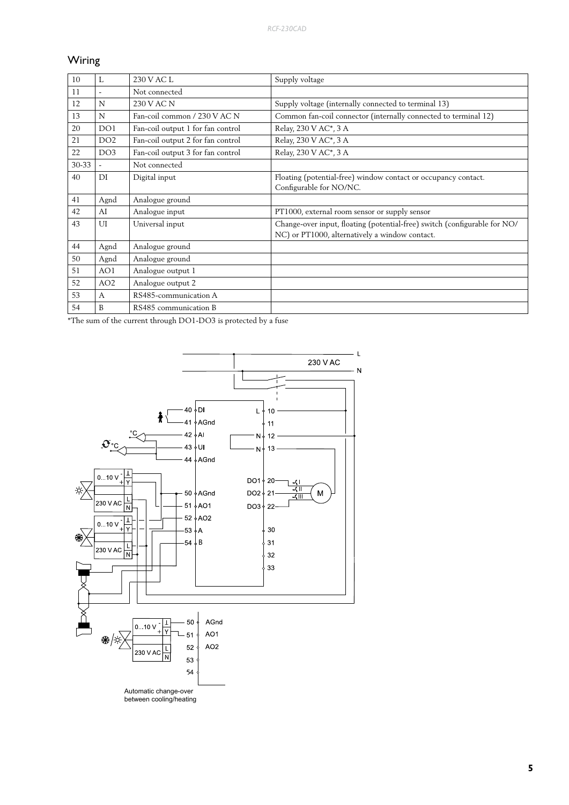# Wiring

| 10    | $\mathbf{I}$ .           | 230 V AC L                        | Supply voltage                                                                                                              |
|-------|--------------------------|-----------------------------------|-----------------------------------------------------------------------------------------------------------------------------|
| 11    | $\overline{\phantom{a}}$ | Not connected                     |                                                                                                                             |
| 12    | N                        | 230 V AC N                        | Supply voltage (internally connected to terminal 13)                                                                        |
| 13    | N                        | Fan-coil common / 230 V AC N      | Common fan-coil connector (internally connected to terminal 12)                                                             |
| 20    | DO <sub>1</sub>          | Fan-coil output 1 for fan control | Relay, 230 V AC*, 3 A                                                                                                       |
| 21    | DO <sub>2</sub>          | Fan-coil output 2 for fan control | Relay, 230 V AC*, 3 A                                                                                                       |
| 22    | DO <sub>3</sub>          | Fan-coil output 3 for fan control | Relay, 230 V AC*, 3 A                                                                                                       |
| 30-33 |                          | Not connected                     |                                                                                                                             |
| 40    | DI                       | Digital input                     | Floating (potential-free) window contact or occupancy contact.<br>Configurable for NO/NC.                                   |
| 41    | Agnd                     | Analogue ground                   |                                                                                                                             |
| 42    | AI                       | Analogue input                    | PT1000, external room sensor or supply sensor                                                                               |
| 43    | UI                       | Universal input                   | Change-over input, floating (potential-free) switch (configurable for NO/<br>NC) or PT1000, alternatively a window contact. |
| 44    | Agnd                     | Analogue ground                   |                                                                                                                             |
| 50    | Agnd                     | Analogue ground                   |                                                                                                                             |
| 51    | AO1                      | Analogue output 1                 |                                                                                                                             |
| 52    | AO <sub>2</sub>          | Analogue output 2                 |                                                                                                                             |
| 53    | $\mathsf{A}$             | RS485-communication A             |                                                                                                                             |
| 54    | R                        | RS485 communication B             |                                                                                                                             |

\*The sum of the current through DO1-DO3 is protected by a fuse